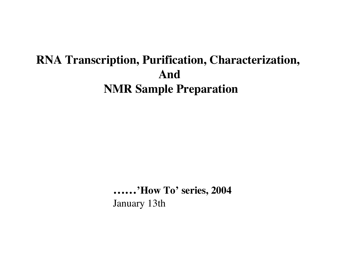# **RNA Transcription, Purification, Characterization, And NMR Sample Preparation**

**…… 'How To' series, 2004** January 13th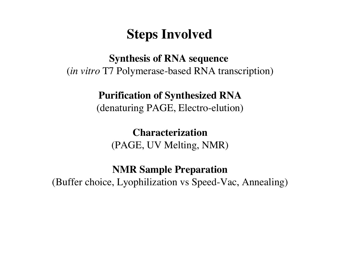# **Steps Involved**

**Synthesis of RNA sequence** (*in vitro* T7 Polymerase-based RNA transcription)

### **Purification of Synthesized RNA**

(denaturing PAGE, Electro-elution)

**Characterization** (PAGE, UV Melting, NMR)

**NMR Sample Preparation**

(Buffer choice, Lyophilization vs Speed-Vac, Annealing)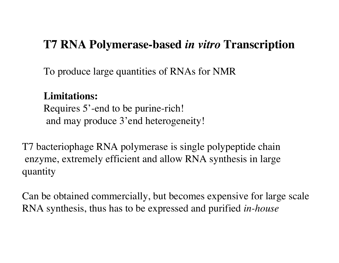# **T7 RNA Polymerase-based** *in vitro* **Transcription**

To produce large quantities of RNAs for NMR

**Limitations:** Requires 5'-end to be purine-rich! and may produce 3'end heterogeneity!

T7 bacteriophage RNA polymerase is single polypeptide chain enzyme, extremely efficient and allow RNA synthesis in large quantity

Can be obtained commercially, but becomes expensive for large scale RNA synthesis, thus has to be expressed and purified *in-house*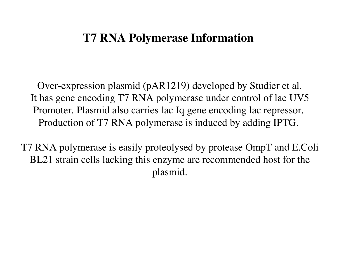# **T7 RNA Polymerase Information**

Over-expression plasmid (pAR1219) developed by Studier et al. It has gene encoding T7 RNA polymerase under control of lac UV5 Promoter. Plasmid also carries lac Iq gene encoding lac repressor. Production of T7 RNA polymerase is induced by adding IPTG.

T7 RNA polymerase is easily proteolysed by protease OmpT and E.Coli BL21 strain cells lacking this enzyme are recommended host for the plasmid.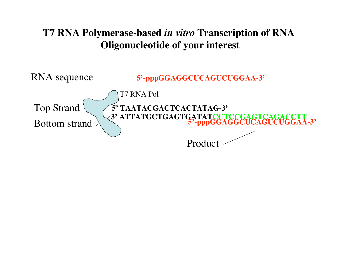## **T7 RNA Polymerase-based** *in vitro* **Transcription of RNA Oligonucleotide of your interest**

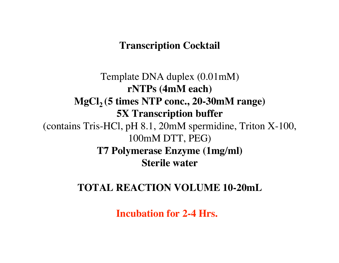#### **Transcription Cocktail**

Template DNA duplex (0.01mM) **rNTPs (4mM each)** MgCl<sub>2</sub> (5 times NTP conc., 20-30mM range) **5X Transcription buffer** (contains Tris-HCl, pH 8.1, 20mM spermidine, Triton X-100, 100mM DTT, PEG) **T7 Polymerase Enzyme (1mg/ml) Sterile water**

#### **TOTAL REACTION VOLUME 10-20mL**

**Incubation for 2-4 Hrs.**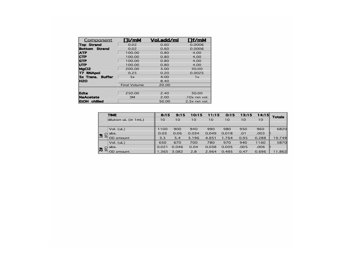| Component            | ∐i∕mM               | <b>Vol.add/ml</b> | [1f/mM          |  |  |
|----------------------|---------------------|-------------------|-----------------|--|--|
| <b>Top Strand</b>    | 0.02                | 0.60              | 0.0006          |  |  |
| <b>Bottom Strand</b> | 0.02                | 0.60              | 0.0006          |  |  |
| <b>ATP</b>           | 100.00              | 0.80              | 4.00            |  |  |
| <b>CTP</b>           | 100.00              | 0.80              | 4.00            |  |  |
| <b>IGTP</b>          | 100.00              | 0.80              | 4.00<br>4.00    |  |  |
| <b>UTP</b>           | 100.00              | 0.80              |                 |  |  |
| MgCl2                | 200.00              | 3.00              | 30.00           |  |  |
| <b>T7 RNApol</b>     | 0.25                | 0.20              | 0.0025          |  |  |
| 5x Trans. Buffer     | 5x                  | 4.00              | 1x              |  |  |
| <b>H2O</b>           |                     | 8.40              |                 |  |  |
|                      | <b>Final Volume</b> | 20.00             |                 |  |  |
|                      |                     |                   |                 |  |  |
| <b>Edta</b>          | 250.00              | 2.40              | 30.00           |  |  |
| <b>NaAcetate</b>     | 3M                  | 2.00              | $.10x$ rxn vol. |  |  |
| EtOH chilled         |                     | 50.00             | 2.5x rxn vol.   |  |  |

|                             | <b>TIME</b>          | 8:15              | 9:15  | 10:15 | 11:15           | 0:15  | 13:15 | 14:15 | <b>Totals</b> |
|-----------------------------|----------------------|-------------------|-------|-------|-----------------|-------|-------|-------|---------------|
|                             | dilution uL (in 1mL) | 10                | 10    | 10    | 10 <sup>°</sup> | 10    | 10    | 10    |               |
|                             |                      |                   |       |       |                 |       |       |       |               |
| $\triangleq$                | Vol. $(uL)$          | 1100              | 900   | 940   | 990             | 980   | 950   | 960   | 6820          |
|                             | abs.                 | 0.03              | 0.06  | 0.034 | 0.049           | 0.018 | .01   | .003  |               |
|                             | OD amount            | 3.3               | 5.4   | 3.196 | 4.851           | 1.764 | 0.95  | 0.288 | 19.749        |
| $\mathbb{E}$ # $\mathbb{Z}$ | Vol. (uL)            | 650               | 670   | 700   | 780             | 970   | 940   | 1160  | 5870          |
|                             | abs.                 | $\parallel$ 0.021 | 0.046 | 0.04  | 0.038           | 0.005 | .005  | .006  |               |
|                             | OD amount            | 1.365             | 3.082 | 2.8   | 2.964           | 0.485 | 0.47  | 0.696 | 11.862        |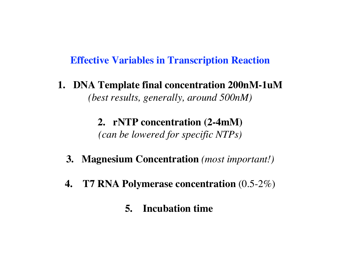#### **Effective Variables in Transcription Reaction**

**1. DNA Template final concentration 200nM-1uM** *(best results, generally, around 500nM)*

> **2. rNTP concentration (2-4mM)** *(can be lowered for specific NTPs)*

- **3. Magnesium Concentration** *(most important!)*
- **4. T7 RNA Polymerase concentration** (0.5-2%)
	- **5. Incubation time**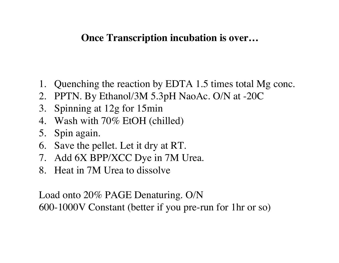### **Once Transcription incubation is over…**

- 1. Quenching the reaction by EDTA 1.5 times total Mg conc.
- 2. PPTN. By Ethanol/3M 5.3pH NaoAc. O/N at -20C
- 3. Spinning at 12g for 15min
- 4. Wash with 70% EtOH (chilled)
- 5. Spin again.
- 6. Save the pellet. Let it dry at RT.
- 7. Add 6X BPP/XCC Dye in 7M Urea.
- 8. Heat in 7M Urea to dissolve

Load onto 20% PAGE Denaturing. O/N 600-1000V Constant (better if you pre-run for 1hr or so)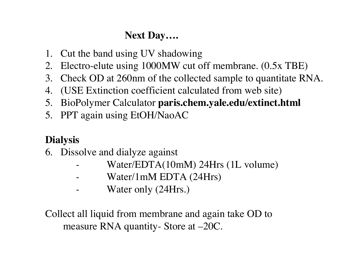# **Next Day….**

- 1. Cut the band using UV shadowing
- 2. Electro-elute using 1000MW cut off membrane. (0.5x TBE)
- 3. Check OD at 260nm of the collected sample to quantitate RNA.
- 4. (USE Extinction coefficient calculated from web site)
- 5. BioPolymer Calculator **paris.chem.yale.edu/extinct.html**
- 5. PPT again using EtOH/NaoAC

# **Dialysis**

- 6. Dissolve and dialyze against
	- Water/EDTA(10mM) 24Hrs (1L volume)
	- Water/1mM EDTA (24Hrs)
	- Water only (24Hrs.)

Collect all liquid from membrane and again take OD to measure RNA quantity- Store at –20C.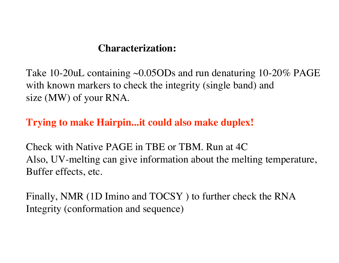### **Characterization:**

Take 10-20uL containing ~0.05ODs and run denaturing 10-20% PAGE with known markers to check the integrity (single band) and size (MW) of your RNA.

## **Trying to make Hairpin...it could also make duplex!**

Check with Native PAGE in TBE or TBM. Run at 4C Also, UV-melting can give information about the melting temperature, Buffer effects, etc.

Finally, NMR (1D Imino and TOCSY ) to further check the RNA Integrity (conformation and sequence)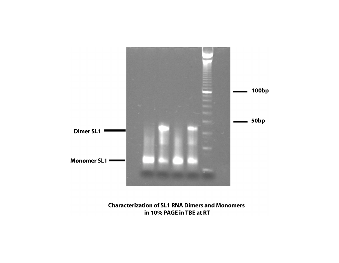

**Characterization of SL1 RNA Dimers and Monomers** in 10% PAGE in TBE at RT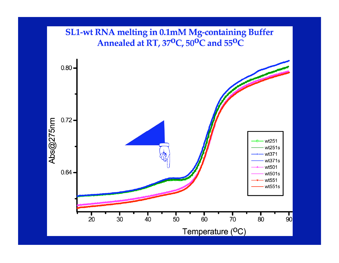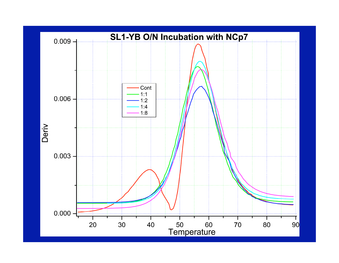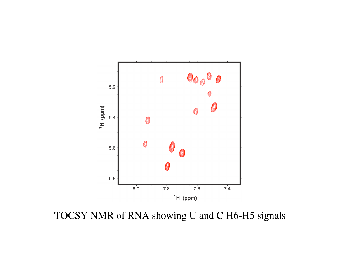

TOCSY NMR of RNA showing U and C H6-H5 signals